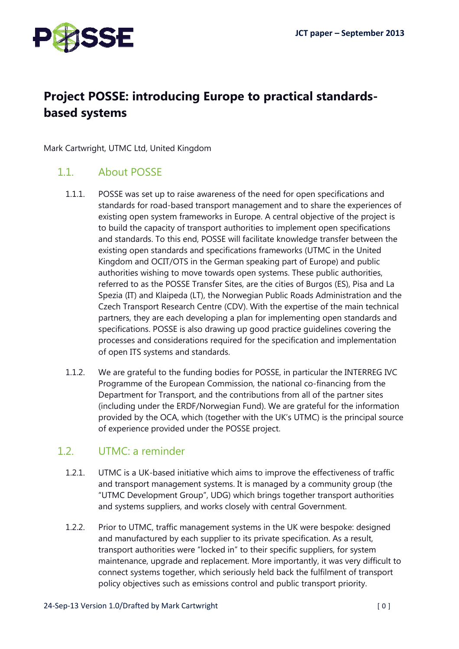

# Project POSSE: introducing Europe to practical standardsbased systems

Mark Cartwright, UTMC Ltd, United Kingdom

#### 1.1 About POSSE

- 1.1.1. POSSE was set up to raise awareness of the need for open specifications and standards for road-based transport management and to share the experiences of existing open system frameworks in Europe. A central objective of the project is to build the capacity of transport authorities to implement open specifications and standards. To this end, POSSE will facilitate knowledge transfer between the existing open standards and specifications frameworks (UTMC in the United Kingdom and OCIT/OTS in the German speaking part of Europe) and public authorities wishing to move towards open systems. These public authorities, referred to as the POSSE Transfer Sites, are the cities of Burgos (ES), Pisa and La Spezia (IT) and Klaipeda (LT), the Norwegian Public Roads Administration and the Czech Transport Research Centre (CDV). With the expertise of the main technical partners, they are each developing a plan for implementing open standards and specifications. POSSE is also drawing up good practice guidelines covering the processes and considerations required for the specification and implementation of open ITS systems and standards.
- 1.1.2. We are grateful to the funding bodies for POSSE, in particular the INTERREG IVC Programme of the European Commission, the national co-financing from the Department for Transport, and the contributions from all of the partner sites (including under the ERDF/Norwegian Fund). We are grateful for the information provided by the OCA, which (together with the UK's UTMC) is the principal source of experience provided under the POSSE project.

#### 1.2. UTMC: a reminder

- 1.2.1. UTMC is a UK-based initiative which aims to improve the effectiveness of traffic and transport management systems. It is managed by a community group (the "UTMC Development Group", UDG) which brings together transport authorities and systems suppliers, and works closely with central Government.
- 1.2.2. Prior to UTMC, traffic management systems in the UK were bespoke: designed and manufactured by each supplier to its private specification. As a result, transport authorities were "locked in" to their specific suppliers, for system maintenance, upgrade and replacement. More importantly, it was very difficult to connect systems together, which seriously held back the fulfilment of transport policy objectives such as emissions control and public transport priority.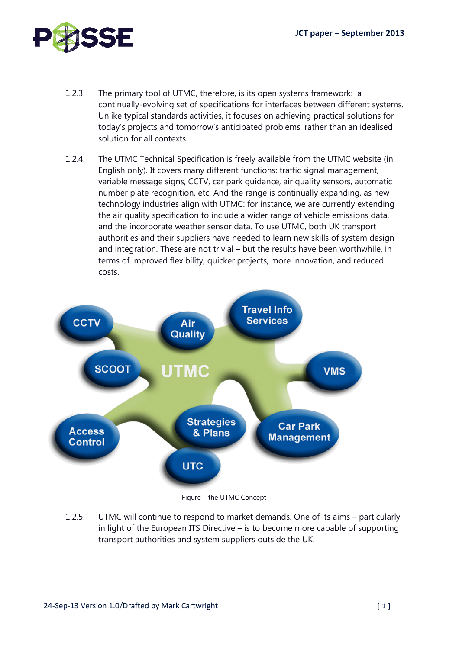

- 1.2.3. The primary tool of UTMC, therefore, is its open systems framework: a continually-evolving set of specifications for interfaces between different systems. Unlike typical standards activities, it focuses on achieving practical solutions for today's projects and tomorrow's anticipated problems, rather than an idealised solution for all contexts.
- 1.2.4. The UTMC Technical Specification is freely available from the UTMC website (in English only). It covers many different functions: traffic signal management, variable message signs, CCTV, car park guidance, air quality sensors, automatic number plate recognition, etc. And the range is continually expanding, as new technology industries align with UTMC: for instance, we are currently extending the air quality specification to include a wider range of vehicle emissions data, and the incorporate weather sensor data. To use UTMC, both UK transport authorities and their suppliers have needed to learn new skills of system design and integration. These are not trivial – but the results have been worthwhile, in terms of improved flexibility, quicker projects, more innovation, and reduced costs.



Figure – the UTMC Concept

1.2.5. UTMC will continue to respond to market demands. One of its aims – particularly in light of the European ITS Directive – is to become more capable of supporting transport authorities and system suppliers outside the UK.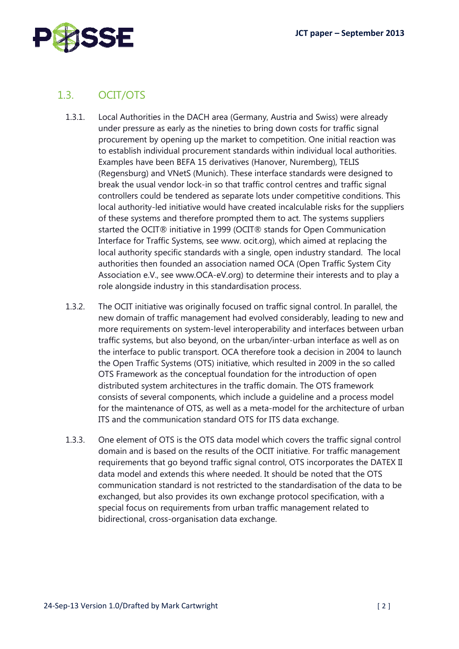

## 1.3. OCIT/OTS

- 1.3.1. Local Authorities in the DACH area (Germany, Austria and Swiss) were already under pressure as early as the nineties to bring down costs for traffic signal procurement by opening up the market to competition. One initial reaction was to establish individual procurement standards within individual local authorities. Examples have been BEFA 15 derivatives (Hanover, Nuremberg), TELIS (Regensburg) and VNetS (Munich). These interface standards were designed to break the usual vendor lock-in so that traffic control centres and traffic signal controllers could be tendered as separate lots under competitive conditions. This local authority-led initiative would have created incalculable risks for the suppliers of these systems and therefore prompted them to act. The systems suppliers started the OCIT® initiative in 1999 (OCIT® stands for Open Communication Interface for Traffic Systems, see www. ocit.org), which aimed at replacing the local authority specific standards with a single, open industry standard. The local authorities then founded an association named OCA (Open Traffic System City Association e.V., see www.OCA-eV.org) to determine their interests and to play a role alongside industry in this standardisation process.
- 1.3.2. The OCIT initiative was originally focused on traffic signal control. In parallel, the new domain of traffic management had evolved considerably, leading to new and more requirements on system-level interoperability and interfaces between urban traffic systems, but also beyond, on the urban/inter-urban interface as well as on the interface to public transport. OCA therefore took a decision in 2004 to launch the Open Traffic Systems (OTS) initiative, which resulted in 2009 in the so called OTS Framework as the conceptual foundation for the introduction of open distributed system architectures in the traffic domain. The OTS framework consists of several components, which include a guideline and a process model for the maintenance of OTS, as well as a meta-model for the architecture of urban ITS and the communication standard OTS for ITS data exchange.
- 1.3.3. One element of OTS is the OTS data model which covers the traffic signal control domain and is based on the results of the OCIT initiative. For traffic management requirements that go beyond traffic signal control, OTS incorporates the DATEX II data model and extends this where needed. It should be noted that the OTS communication standard is not restricted to the standardisation of the data to be exchanged, but also provides its own exchange protocol specification, with a special focus on requirements from urban traffic management related to bidirectional, cross-organisation data exchange.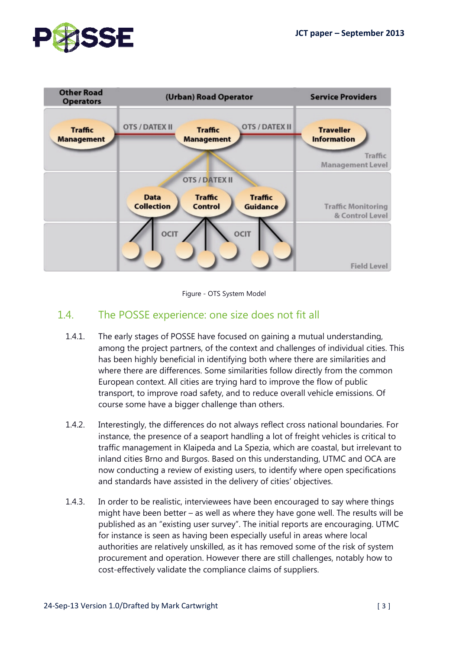



Figure - OTS System Model

### 1.4. The POSSE experience: one size does not fit all

- 1.4.1. The early stages of POSSE have focused on gaining a mutual understanding, among the project partners, of the context and challenges of individual cities. This has been highly beneficial in identifying both where there are similarities and where there are differences. Some similarities follow directly from the common European context. All cities are trying hard to improve the flow of public transport, to improve road safety, and to reduce overall vehicle emissions. Of course some have a bigger challenge than others.
- 1.4.2. Interestingly, the differences do not always reflect cross national boundaries. For instance, the presence of a seaport handling a lot of freight vehicles is critical to traffic management in Klaipeda and La Spezia, which are coastal, but irrelevant to inland cities Brno and Burgos. Based on this understanding, UTMC and OCA are now conducting a review of existing users, to identify where open specifications and standards have assisted in the delivery of cities' objectives.
- 1.4.3. In order to be realistic, interviewees have been encouraged to say where things might have been better – as well as where they have gone well. The results will be published as an "existing user survey". The initial reports are encouraging. UTMC for instance is seen as having been especially useful in areas where local authorities are relatively unskilled, as it has removed some of the risk of system procurement and operation. However there are still challenges, notably how to cost-effectively validate the compliance claims of suppliers.